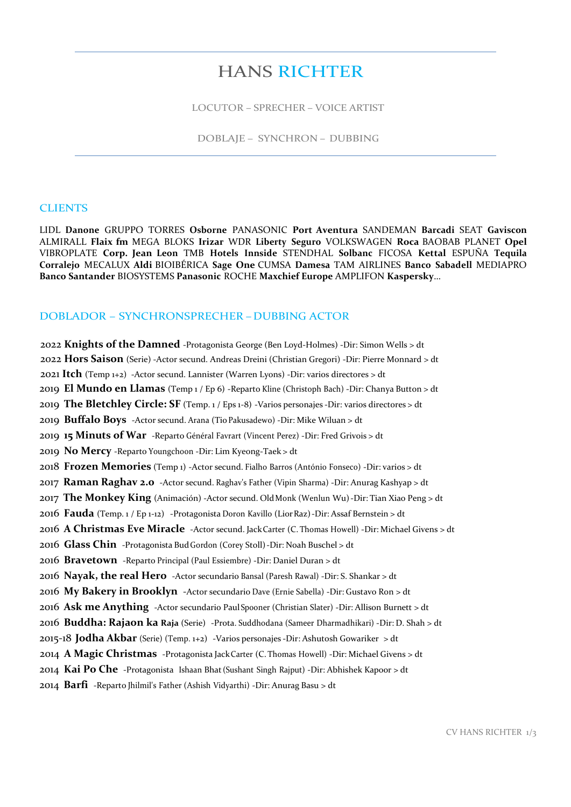# HANS RICHTER

LOCUTOR – SPRECHER – VOICE ARTIST

DOBLAJE – SYNCHRON – DUBBING

#### **CLIENTS**

LIDL **Danone** GRUPPO TORRES **Osborne** PANASONIC **Port Aventura** SANDEMAN **Barcadi** SEAT **Gaviscon** ALMIRALL **Flaix fm** MEGA BLOKS **Irizar** WDR **Liberty Seguro** VOLKSWAGEN **Roca** BAOBAB PLANET **Opel** VIBROPLATE **Corp. Jean Leon** TMB **Hotels Innside** STENDHAL **Solbanc** FICOSA **Kettal** ESPUÑA **Tequila Corralejo** MECALUX **Aldi** BIOIBÉRICA **Sage One** CUMSA **Damesa** TAM AIRLINES **Banco Sabadell** MEDIAPRO **Banco Santander** BIOSYSTEMS **Panasonic** ROCHE **Maxchief Europe** AMPLIFON **Kaspersky**…

#### DOBLADOR – SYNCHRONSPRECHER –DUBBING ACTOR

 2022 **Knights of the Damned** -Protagonista George (Ben Loyd-Holmes) -Dir: Simon Wells > dt 2022 **Hors Saison** (Serie) -Actor secund. Andreas Dreini (Christian Gregori) -Dir: Pierre Monnard > dt 2021 **Itch** (Temp 1+2) -Actor secund. Lannister (Warren Lyons) -Dir: varios directores > dt **El Mundo en Llamas** (Temp 1 / Ep 6) -Reparto Kline (Christoph Bach) -Dir: Chanya Button > dt **The Bletchley Circle: SF** (Temp. 1 / Eps 1-8) -Varios personajes -Dir: varios directores > dt **Buffalo Boys** -Actor secund. Arana (TioPakusadewo) -Dir: Mike Wiluan > dt **15 Minuts of War** -Reparto Général Favrart (Vincent Perez) -Dir: Fred Grivois > dt **No Mercy** -Reparto Youngchoon -Dir: Lim Kyeong-Taek > dt **Frozen Memories** (Temp 1) -Actor secund. Fialho Barros (António Fonseco) -Dir: varios > dt **Raman Raghav 2.0** -Actor secund. Raghav's Father (Vipin Sharma) -Dir: Anurag Kashyap > dt **The Monkey King** (Animación) -Actor secund. OldMonk (Wenlun Wu)-Dir: Tian Xiao Peng > dt **Fauda** (Temp. 1 / Ep 1-12) -Protagonista Doron Kavillo (LiorRaz)-Dir: Assaf Bernstein > dt **A Christmas Eve Miracle** -Actor secund. JackCarter (C. Thomas Howell) -Dir: Michael Givens > dt **Glass Chin** -Protagonista BudGordon (Corey Stoll)-Dir: Noah Buschel > dt **Bravetown** -Reparto Principal (Paul Essiembre) -Dir: Daniel Duran > dt **Nayak, the real Hero** -Actor secundario Bansal (Paresh Rawal) -Dir: S. Shankar > dt **My Bakery in Brooklyn** -Actor secundario Dave (Ernie Sabella) -Dir: Gustavo Ron > dt **Ask me Anything** -Actor secundario PaulSpooner (Christian Slater) -Dir: Allison Burnett > dt **Buddha: Rajaon ka Raja** (Serie) -Prota. Suddhodana (Sameer Dharmadhikari) -Dir: D. Shah > dt 2015-18 **Jodha Akbar** (Serie) (Temp. 1+2) -Varios personajes -Dir: Ashutosh Gowariker > dt **A Magic Christmas** -Protagonista JackCarter (C. Thomas Howell) -Dir: Michael Givens > dt **Kai Po Che** -Protagonista Ishaan Bhat(Sushant Singh Rajput) -Dir: Abhishek Kapoor > dt **Barfi** -Reparto Jhilmil's Father (Ashish Vidyarthi) -Dir: Anurag Basu > dt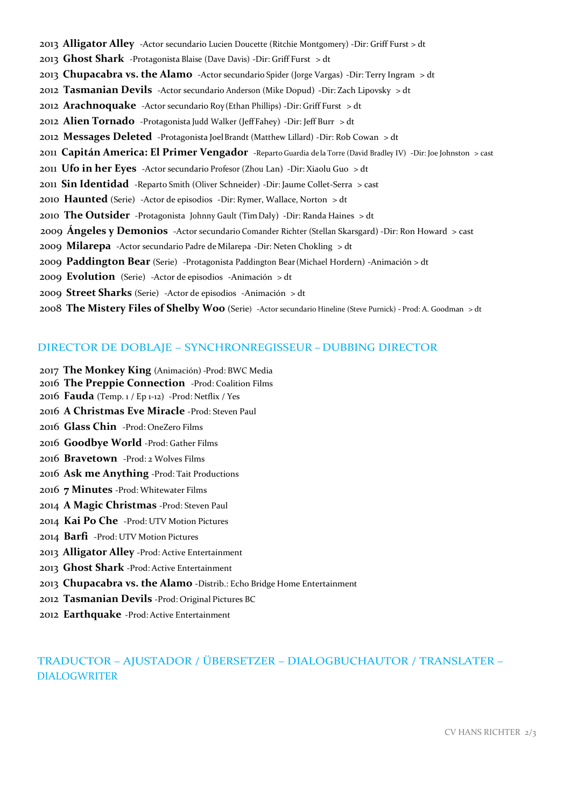**Alligator Alley** -Actor secundario Lucien Doucette (Ritchie Montgomery) -Dir: Griff Furst > dt **Ghost Shark** -Protagonista Blaise (Dave Davis) -Dir: Griff Furst > dt **Chupacabra vs. the Alamo** -Actor secundario Spider (Jorge Vargas) -Dir: Terry Ingram > dt **Tasmanian Devils** -Actor secundario Anderson (Mike Dopud) -Dir: Zach Lipovsky > dt **Arachnoquake** -Actor secundario Roy(Ethan Phillips) -Dir: Griff Furst > dt **Alien Tornado** -Protagonista Judd Walker (JeffFahey) -Dir: Jeff Burr > dt **Messages Deleted** -Protagonista JoelBrandt (Matthew Lillard) -Dir: Rob Cowan > dt **Capitán America: El Primer Vengador** -Reparto Guardia de la Torre (David Bradley IV) -Dir: Joe Johnston > cast **Ufo in her Eyes** -Actor secundario Profesor (Zhou Lan) -Dir: Xiaolu Guo > dt **Sin Identidad** -Reparto Smith (Oliver Schneider) -Dir: Jaume Collet-Serra > cast **Haunted** (Serie) -Actor de episodios -Dir: Rymer, Wallace, Norton > dt **The Outsider** -Protagonista Johnny Gault (TimDaly) -Dir: Randa Haines > dt 2009 **Ángeles y Demonios** -Actor secundario Comander Richter (Stellan Skarsgard) -Dir: Ron Howard > cast **Milarepa** -Actor secundario Padre deMilarepa -Dir: Neten Chokling > dt **Paddington Bear** (Serie) -Protagonista Paddington Bear(Michael Hordern) -Animación > dt **Evolution** (Serie) -Actor de episodios -Animación > dt **Street Sharks** (Serie) -Actor de episodios -Animación > dt **The Mistery Files of Shelby Woo** (Serie) -Actor secundario Hineline (Steve Purnick) - Prod: A. Goodman > dt

### DIRECTOR DE DOBLAJE – SYNCHRONREGISSEUR –DUBBING DIRECTOR

- **The Monkey King** (Animación) -Prod: BWC Media
- **The Preppie Connection** -Prod: Coalition Films
- **Fauda** (Temp. 1 / Ep 1-12) -Prod: Netflix / Yes
- **A Christmas Eve Miracle** -Prod: Steven Paul
- **Glass Chin** -Prod: OneZero Films
- **Goodbye World** -Prod: Gather Films
- **Bravetown** -Prod: 2 Wolves Films
- **Ask me Anything** -Prod: Tait Productions
- **7 Minutes** -Prod: Whitewater Films
- **A Magic Christmas** -Prod: Steven Paul
- **Kai Po Che** -Prod: UTV Motion Pictures
- **Barfi** -Prod: UTV Motion Pictures
- **Alligator Alley** -Prod: Active Entertainment
- **Ghost Shark** -Prod: Active Entertainment
- **Chupacabra vs. the Alamo** -Distrib.: Echo Bridge Home Entertainment
- **Tasmanian Devils** -Prod: Original Pictures BC
- **Earthquake** -Prod: Active Entertainment

## TRADUCTOR – AJUSTADOR / ÜBERSETZER – DIALOGBUCHAUTOR / TRANSLATER – DIALOGWRITER